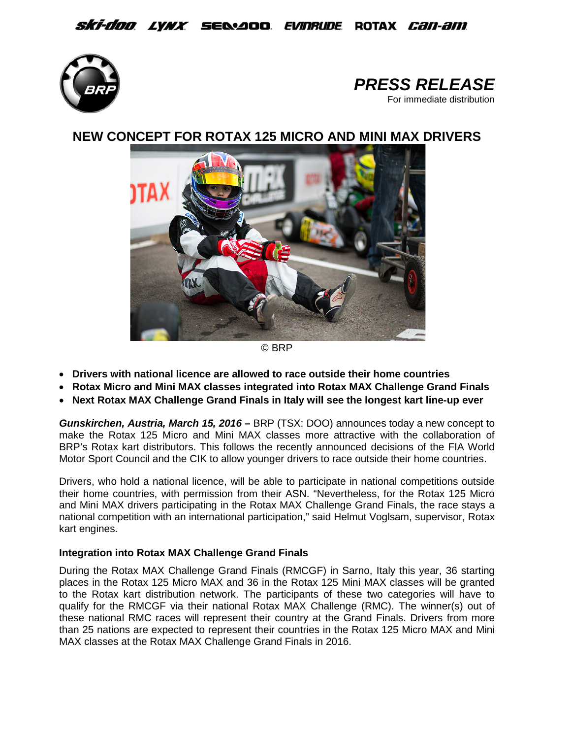## *Ski-doo lynx s*e&aoo *evinrude* rotax *can-am*





# **NEW CONCEPT FOR ROTAX 125 MICRO AND MINI MAX DRIVERS**



© BRP

- **Drivers with national licence are allowed to race outside their home countries**
- **Rotax Micro and Mini MAX classes integrated into Rotax MAX Challenge Grand Finals**
- **Next Rotax MAX Challenge Grand Finals in Italy will see the longest kart line-up ever**

*Gunskirchen, Austria, March 15, 2016* **–** BRP (TSX: DOO) announces today a new concept to make the Rotax 125 Micro and Mini MAX classes more attractive with the collaboration of BRP's Rotax kart distributors. This follows the recently announced decisions of the FIA World Motor Sport Council and the CIK to allow younger drivers to race outside their home countries.

Drivers, who hold a national licence, will be able to participate in national competitions outside their home countries, with permission from their ASN. "Nevertheless, for the Rotax 125 Micro and Mini MAX drivers participating in the Rotax MAX Challenge Grand Finals, the race stays a national competition with an international participation," said Helmut Voglsam, supervisor, Rotax kart engines.

## **Integration into Rotax MAX Challenge Grand Finals**

During the Rotax MAX Challenge Grand Finals (RMCGF) in Sarno, Italy this year, 36 starting places in the Rotax 125 Micro MAX and 36 in the Rotax 125 Mini MAX classes will be granted to the Rotax kart distribution network. The participants of these two categories will have to qualify for the RMCGF via their national Rotax MAX Challenge (RMC). The winner(s) out of these national RMC races will represent their country at the Grand Finals. Drivers from more than 25 nations are expected to represent their countries in the Rotax 125 Micro MAX and Mini MAX classes at the Rotax MAX Challenge Grand Finals in 2016.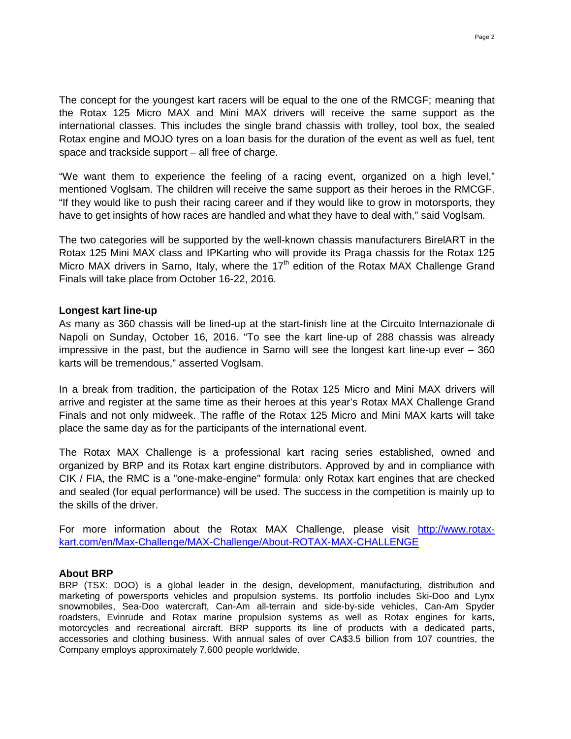The concept for the youngest kart racers will be equal to the one of the RMCGF; meaning that the Rotax 125 Micro MAX and Mini MAX drivers will receive the same support as the international classes. This includes the single brand chassis with trolley, tool box, the sealed Rotax engine and MOJO tyres on a loan basis for the duration of the event as well as fuel, tent space and trackside support – all free of charge.

"We want them to experience the feeling of a racing event, organized on a high level," mentioned Voglsam. The children will receive the same support as their heroes in the RMCGF. "If they would like to push their racing career and if they would like to grow in motorsports, they have to get insights of how races are handled and what they have to deal with," said Voglsam.

The two categories will be supported by the well-known chassis manufacturers BirelART in the Rotax 125 Mini MAX class and IPKarting who will provide its Praga chassis for the Rotax 125 Micro MAX drivers in Sarno, Italy, where the 17<sup>th</sup> edition of the Rotax MAX Challenge Grand Finals will take place from October 16-22, 2016.

### **Longest kart line-up**

As many as 360 chassis will be lined-up at the start-finish line at the Circuito Internazionale di Napoli on Sunday, October 16, 2016. "To see the kart line-up of 288 chassis was already impressive in the past, but the audience in Sarno will see the longest kart line-up ever – 360 karts will be tremendous," asserted Voglsam.

In a break from tradition, the participation of the Rotax 125 Micro and Mini MAX drivers will arrive and register at the same time as their heroes at this year's Rotax MAX Challenge Grand Finals and not only midweek. The raffle of the Rotax 125 Micro and Mini MAX karts will take place the same day as for the participants of the international event.

The Rotax MAX Challenge is a professional kart racing series established, owned and organized by BRP and its Rotax kart engine distributors. Approved by and in compliance with CIK / FIA, the RMC is a "one-make-engine" formula: only Rotax kart engines that are checked and sealed (for equal performance) will be used. The success in the competition is mainly up to the skills of the driver.

For more information about the Rotax MAX Challenge, please visit [http://www.rotax](http://www.rotax-kart.com/en/Max-Challenge/MAX-Challenge/About-ROTAX-MAX-CHALLENGE)[kart.com/en/Max-Challenge/MAX-Challenge/About-ROTAX-MAX-CHALLENGE](http://www.rotax-kart.com/en/Max-Challenge/MAX-Challenge/About-ROTAX-MAX-CHALLENGE)

#### **About BRP**

BRP (TSX: DOO) is a global leader in the design, development, manufacturing, distribution and marketing of powersports vehicles and propulsion systems. Its portfolio includes Ski-Doo and Lynx snowmobiles, Sea-Doo watercraft, Can-Am all-terrain and side-by-side vehicles, Can-Am Spyder roadsters, Evinrude and Rotax marine propulsion systems as well as Rotax engines for karts, motorcycles and recreational aircraft. BRP supports its line of products with a dedicated parts, accessories and clothing business. With annual sales of over CA\$3.5 billion from 107 countries, the Company employs approximately 7,600 people worldwide.